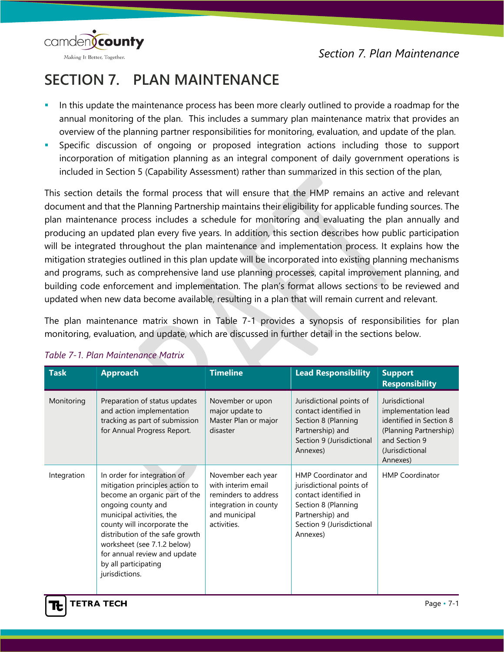camden**(county** Making It Better, Together.

# **SECTION 7. PLAN MAINTENANCE**

- In this update the maintenance process has been more clearly outlined to provide a roadmap for the annual monitoring of the plan. This includes a summary plan maintenance matrix that provides an overview of the planning partner responsibilities for monitoring, evaluation, and update of the plan.
- Specific discussion of ongoing or proposed integration actions including those to support incorporation of mitigation planning as an integral component of daily government operations is included in Section 5 (Capability Assessment) rather than summarized in this section of the plan,

This section details the formal process that will ensure that the HMP remains an active and relevant document and that the Planning Partnership maintains their eligibility for applicable funding sources. The plan maintenance process includes a schedule for monitoring and evaluating the plan annually and producing an updated plan every five years. In addition, this section describes how public participation will be integrated throughout the plan maintenance and implementation process. It explains how the mitigation strategies outlined in this plan update will be incorporated into existing planning mechanisms and programs, such as comprehensive land use planning processes, capital improvement planning, and building code enforcement and implementation. The plan's format allows sections to be reviewed and updated when new data become available, resulting in a plan that will remain current and relevant.

The plan maintenance matrix shown in Table 7-1 provides a synopsis of responsibilities for plan monitoring, evaluation, and update, which are discussed in further detail in the sections below.

| <b>Task</b> | <b>Approach</b>                                                                                                                                                                                                                                                                                                               | <b>Timeline</b>                                                                                                           | <b>Lead Responsibility</b>                                                                                                                                          | <b>Support</b><br><b>Responsibility</b>                                                                                                    |
|-------------|-------------------------------------------------------------------------------------------------------------------------------------------------------------------------------------------------------------------------------------------------------------------------------------------------------------------------------|---------------------------------------------------------------------------------------------------------------------------|---------------------------------------------------------------------------------------------------------------------------------------------------------------------|--------------------------------------------------------------------------------------------------------------------------------------------|
| Monitoring  | Preparation of status updates<br>and action implementation<br>tracking as part of submission<br>for Annual Progress Report.                                                                                                                                                                                                   | November or upon<br>major update to<br>Master Plan or major<br>disaster                                                   | Jurisdictional points of<br>contact identified in<br>Section 8 (Planning<br>Partnership) and<br>Section 9 (Jurisdictional<br>Annexes)                               | Jurisdictional<br>implementation lead<br>identified in Section 8<br>(Planning Partnership)<br>and Section 9<br>(Jurisdictional<br>Annexes) |
| Integration | In order for integration of<br>mitigation principles action to<br>become an organic part of the<br>ongoing county and<br>municipal activities, the<br>county will incorporate the<br>distribution of the safe growth<br>worksheet (see 7.1.2 below)<br>for annual review and update<br>by all participating<br>jurisdictions. | November each year<br>with interim email<br>reminders to address<br>integration in county<br>and municipal<br>activities. | <b>HMP Coordinator and</b><br>jurisdictional points of<br>contact identified in<br>Section 8 (Planning<br>Partnership) and<br>Section 9 (Jurisdictional<br>Annexes) | <b>HMP Coordinator</b>                                                                                                                     |

#### *Table 7-1. Plan Maintenance Matrix*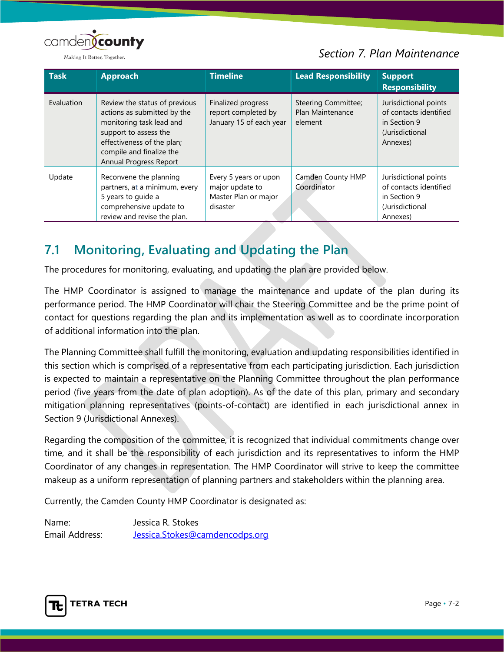

#### *Section 7. Plan Maintenance*

| <b>Task</b> | <b>Approach</b>                                                                                                                                                                                       | <b>Timeline</b>                                                              | <b>Lead Responsibility</b>                         | <b>Support</b><br><b>Responsibility</b>                                                        |
|-------------|-------------------------------------------------------------------------------------------------------------------------------------------------------------------------------------------------------|------------------------------------------------------------------------------|----------------------------------------------------|------------------------------------------------------------------------------------------------|
| Evaluation  | Review the status of previous<br>actions as submitted by the<br>monitoring task lead and<br>support to assess the<br>effectiveness of the plan;<br>compile and finalize the<br>Annual Progress Report | Finalized progress<br>report completed by<br>January 15 of each year         | Steering Committee;<br>Plan Maintenance<br>element | Jurisdictional points<br>of contacts identified<br>in Section 9<br>(Jurisdictional<br>Annexes) |
| Update      | Reconvene the planning<br>partners, at a minimum, every<br>5 years to guide a<br>comprehensive update to<br>review and revise the plan.                                                               | Every 5 years or upon<br>major update to<br>Master Plan or major<br>disaster | Camden County HMP<br>Coordinator                   | Jurisdictional points<br>of contacts identified<br>in Section 9<br>(Jurisdictional<br>Annexes) |

## **7.1 Monitoring, Evaluating and Updating the Plan**

The procedures for monitoring, evaluating, and updating the plan are provided below.

The HMP Coordinator is assigned to manage the maintenance and update of the plan during its performance period. The HMP Coordinator will chair the Steering Committee and be the prime point of contact for questions regarding the plan and its implementation as well as to coordinate incorporation of additional information into the plan.

The Planning Committee shall fulfill the monitoring, evaluation and updating responsibilities identified in this section which is comprised of a representative from each participating jurisdiction. Each jurisdiction is expected to maintain a representative on the Planning Committee throughout the plan performance period (five years from the date of plan adoption). As of the date of this plan, primary and secondary mitigation planning representatives (points-of-contact) are identified in each jurisdictional annex in Section 9 (Jurisdictional Annexes).

Regarding the composition of the committee, it is recognized that individual commitments change over time, and it shall be the responsibility of each jurisdiction and its representatives to inform the HMP Coordinator of any changes in representation. The HMP Coordinator will strive to keep the committee makeup as a uniform representation of planning partners and stakeholders within the planning area.

Currently, the Camden County HMP Coordinator is designated as:

Name: Jessica R. Stokes Email Address: [Jessica.Stokes@camdencodps.org](mailto:Jessica.Stokes@camdencodps.org)

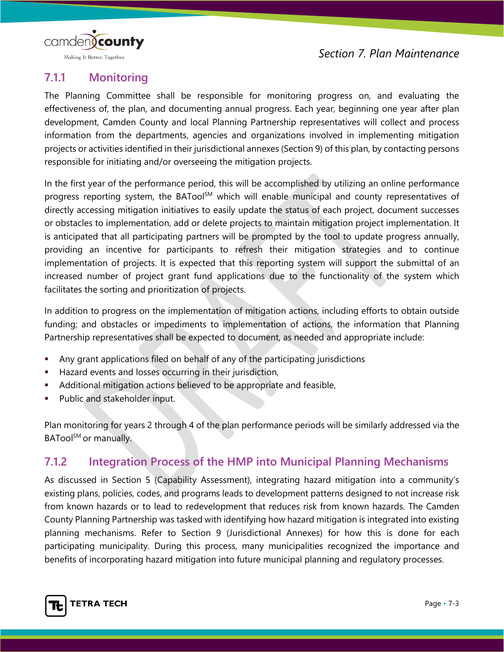

Making It Better, Together.

### **7.1.1 Monitoring**

The Planning Committee shall be responsible for monitoring progress on, and evaluating the effectiveness of, the plan, and documenting annual progress. Each year, beginning one year after plan development, Camden County and local Planning Partnership representatives will collect and process information from the departments, agencies and organizations involved in implementing mitigation projects or activities identified in their jurisdictional annexes (Section 9) of this plan, by contacting persons responsible for initiating and/or overseeing the mitigation projects.

In the first year of the performance period, this will be accomplished by utilizing an online performance progress reporting system, the BATool<sup>SM</sup> which will enable municipal and county representatives of directly accessing mitigation initiatives to easily update the status of each project, document successes or obstacles to implementation, add or delete projects to maintain mitigation project implementation. It is anticipated that all participating partners will be prompted by the tool to update progress annually, providing an incentive for participants to refresh their mitigation strategies and to continue implementation of projects. It is expected that this reporting system will support the submittal of an increased number of project grant fund applications due to the functionality of the system which facilitates the sorting and prioritization of projects.

In addition to progress on the implementation of mitigation actions, including efforts to obtain outside funding; and obstacles or impediments to implementation of actions, the information that Planning Partnership representatives shall be expected to document, as needed and appropriate include:

- Any grant applications filed on behalf of any of the participating jurisdictions
- Hazard events and losses occurring in their jurisdiction,
- Additional mitigation actions believed to be appropriate and feasible,
- **Public and stakeholder input.**

Plan monitoring for years 2 through 4 of the plan performance periods will be similarly addressed via the BATool<sup>SM</sup> or manually.

#### **7.1.2 Integration Process of the HMP into Municipal Planning Mechanisms**

As discussed in Section 5 (Capability Assessment), integrating hazard mitigation into a community's existing plans, policies, codes, and programs leads to development patterns designed to not increase risk from known hazards or to lead to redevelopment that reduces risk from known hazards. The Camden County Planning Partnership was tasked with identifying how hazard mitigation is integrated into existing planning mechanisms. Refer to Section 9 (Jurisdictional Annexes) for how this is done for each participating municipality. During this process, many municipalities recognized the importance and benefits of incorporating hazard mitigation into future municipal planning and regulatory processes.

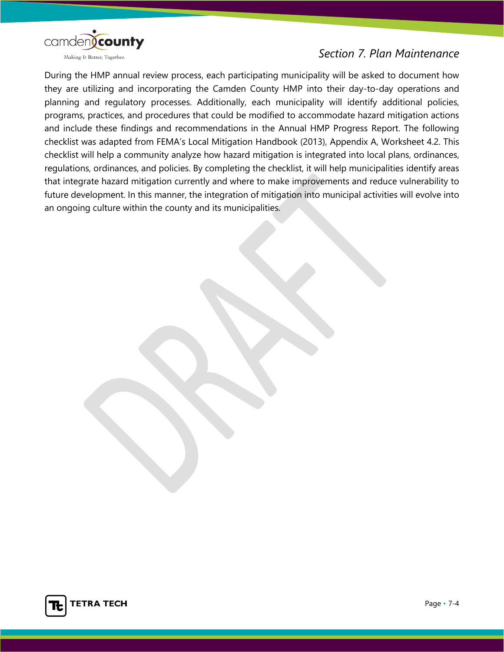

During the HMP annual review process, each participating municipality will be asked to document how they are utilizing and incorporating the Camden County HMP into their day-to-day operations and planning and regulatory processes. Additionally, each municipality will identify additional policies, programs, practices, and procedures that could be modified to accommodate hazard mitigation actions and include these findings and recommendations in the Annual HMP Progress Report. The following checklist was adapted from FEMA's Local Mitigation Handbook (2013), Appendix A, Worksheet 4.2. This checklist will help a community analyze how hazard mitigation is integrated into local plans, ordinances, regulations, ordinances, and policies. By completing the checklist, it will help municipalities identify areas that integrate hazard mitigation currently and where to make improvements and reduce vulnerability to future development. In this manner, the integration of mitigation into municipal activities will evolve into an ongoing culture within the county and its municipalities.

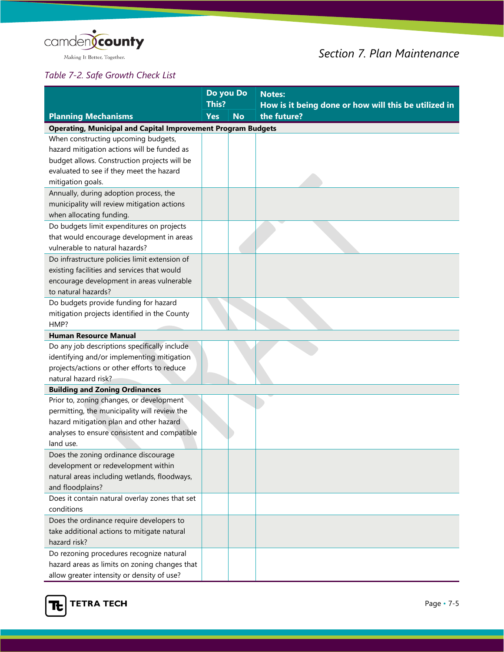

## *Section 7. Plan Maintenance*

#### *Table 7-2. Safe Growth Check List*

|                                                                                                   | Do you Do<br>This? |           | <b>Notes:</b>                                                       |
|---------------------------------------------------------------------------------------------------|--------------------|-----------|---------------------------------------------------------------------|
|                                                                                                   | <b>Yes</b>         | <b>No</b> | How is it being done or how will this be utilized in<br>the future? |
| <b>Planning Mechanisms</b><br><b>Operating, Municipal and Capital Improvement Program Budgets</b> |                    |           |                                                                     |
| When constructing upcoming budgets,                                                               |                    |           |                                                                     |
| hazard mitigation actions will be funded as                                                       |                    |           |                                                                     |
| budget allows. Construction projects will be                                                      |                    |           |                                                                     |
| evaluated to see if they meet the hazard                                                          |                    |           |                                                                     |
| mitigation goals.                                                                                 |                    |           |                                                                     |
| Annually, during adoption process, the                                                            |                    |           |                                                                     |
| municipality will review mitigation actions                                                       |                    |           |                                                                     |
| when allocating funding.                                                                          |                    |           |                                                                     |
| Do budgets limit expenditures on projects                                                         |                    |           |                                                                     |
| that would encourage development in areas                                                         |                    |           |                                                                     |
| vulnerable to natural hazards?                                                                    |                    |           |                                                                     |
| Do infrastructure policies limit extension of                                                     |                    |           |                                                                     |
| existing facilities and services that would                                                       |                    |           |                                                                     |
| encourage development in areas vulnerable                                                         |                    |           |                                                                     |
| to natural hazards?                                                                               |                    |           |                                                                     |
| Do budgets provide funding for hazard                                                             |                    |           |                                                                     |
| mitigation projects identified in the County<br>HMP?                                              |                    |           |                                                                     |
| <b>Human Resource Manual</b>                                                                      |                    |           |                                                                     |
| Do any job descriptions specifically include                                                      |                    |           |                                                                     |
| identifying and/or implementing mitigation                                                        |                    |           |                                                                     |
| projects/actions or other efforts to reduce                                                       |                    |           |                                                                     |
| natural hazard risk?                                                                              |                    |           |                                                                     |
| <b>Building and Zoning Ordinances</b>                                                             |                    |           |                                                                     |
| Prior to, zoning changes, or development                                                          |                    |           |                                                                     |
| permitting, the municipality will review the                                                      |                    |           |                                                                     |
| hazard mitigation plan and other hazard                                                           |                    |           |                                                                     |
| analyses to ensure consistent and compatible                                                      |                    |           |                                                                     |
| land use.                                                                                         |                    |           |                                                                     |
| Does the zoning ordinance discourage                                                              |                    |           |                                                                     |
| development or redevelopment within                                                               |                    |           |                                                                     |
| natural areas including wetlands, floodways,                                                      |                    |           |                                                                     |
| and floodplains?                                                                                  |                    |           |                                                                     |
| Does it contain natural overlay zones that set                                                    |                    |           |                                                                     |
| conditions                                                                                        |                    |           |                                                                     |
| Does the ordinance require developers to                                                          |                    |           |                                                                     |
| take additional actions to mitigate natural<br>hazard risk?                                       |                    |           |                                                                     |
| Do rezoning procedures recognize natural                                                          |                    |           |                                                                     |
| hazard areas as limits on zoning changes that                                                     |                    |           |                                                                     |
| allow greater intensity or density of use?                                                        |                    |           |                                                                     |

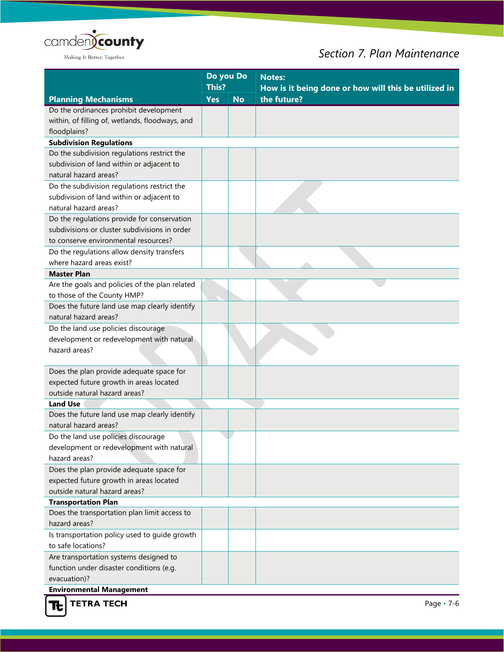

## *Section 7. Plan Maintenance*

|                                                                            | Do you Do           |           | <b>Notes:</b>                                                       |  |
|----------------------------------------------------------------------------|---------------------|-----------|---------------------------------------------------------------------|--|
| <b>Planning Mechanisms</b>                                                 | This?<br><b>Yes</b> | <b>No</b> | How is it being done or how will this be utilized in<br>the future? |  |
| Do the ordinances prohibit development                                     |                     |           |                                                                     |  |
| within, of filling of, wetlands, floodways, and                            |                     |           |                                                                     |  |
| floodplains?                                                               |                     |           |                                                                     |  |
| <b>Subdivision Regulations</b>                                             |                     |           |                                                                     |  |
| Do the subdivision regulations restrict the                                |                     |           |                                                                     |  |
| subdivision of land within or adjacent to                                  |                     |           |                                                                     |  |
| natural hazard areas?                                                      |                     |           |                                                                     |  |
| Do the subdivision regulations restrict the                                |                     |           |                                                                     |  |
| subdivision of land within or adjacent to                                  |                     |           |                                                                     |  |
| natural hazard areas?                                                      |                     |           |                                                                     |  |
| Do the regulations provide for conservation                                |                     |           |                                                                     |  |
| subdivisions or cluster subdivisions in order                              |                     |           |                                                                     |  |
| to conserve environmental resources?                                       |                     |           |                                                                     |  |
| Do the regulations allow density transfers                                 |                     |           |                                                                     |  |
| where hazard areas exist?                                                  |                     |           |                                                                     |  |
| <b>Master Plan</b>                                                         |                     |           |                                                                     |  |
| Are the goals and policies of the plan related                             |                     |           |                                                                     |  |
| to those of the County HMP?                                                |                     |           |                                                                     |  |
| Does the future land use map clearly identify                              |                     |           |                                                                     |  |
| natural hazard areas?                                                      |                     |           |                                                                     |  |
| Do the land use policies discourage                                        |                     |           |                                                                     |  |
| development or redevelopment with natural<br>hazard areas?                 |                     |           |                                                                     |  |
|                                                                            |                     |           |                                                                     |  |
| Does the plan provide adequate space for                                   |                     |           |                                                                     |  |
| expected future growth in areas located                                    |                     |           |                                                                     |  |
| outside natural hazard areas?                                              |                     |           |                                                                     |  |
| <b>Land Use</b>                                                            |                     |           |                                                                     |  |
| Does the future land use map clearly identify                              |                     |           |                                                                     |  |
| natural hazard areas?                                                      |                     |           |                                                                     |  |
| Do the land use policies discourage                                        |                     |           |                                                                     |  |
| development or redevelopment with natural                                  |                     |           |                                                                     |  |
| hazard areas?                                                              |                     |           |                                                                     |  |
| Does the plan provide adequate space for                                   |                     |           |                                                                     |  |
| expected future growth in areas located                                    |                     |           |                                                                     |  |
| outside natural hazard areas?                                              |                     |           |                                                                     |  |
| <b>Transportation Plan</b><br>Does the transportation plan limit access to |                     |           |                                                                     |  |
| hazard areas?                                                              |                     |           |                                                                     |  |
| Is transportation policy used to guide growth                              |                     |           |                                                                     |  |
| to safe locations?                                                         |                     |           |                                                                     |  |
| Are transportation systems designed to                                     |                     |           |                                                                     |  |
| function under disaster conditions (e.g.                                   |                     |           |                                                                     |  |
| evacuation)?                                                               |                     |           |                                                                     |  |
| Environmental Management                                                   |                     |           |                                                                     |  |

**Environmental Management<br>TE** TETRA TECH

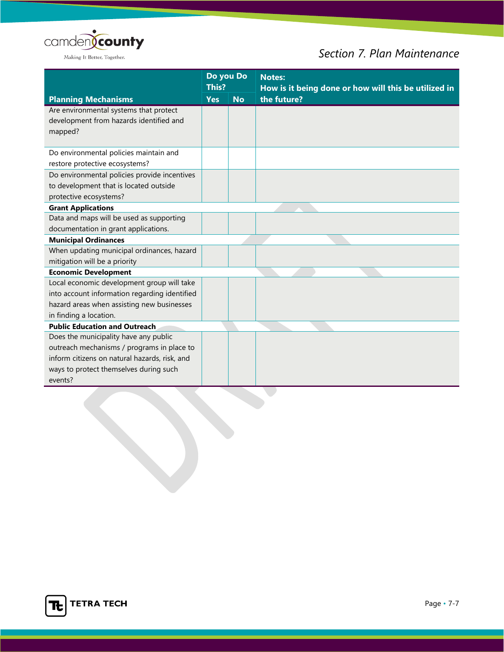

## *Section 7. Plan Maintenance*

| <b>Planning Mechanisms</b>                                                        |  | Do you Do | <b>Notes:</b><br>How is it being done or how will this be utilized in |  |
|-----------------------------------------------------------------------------------|--|-----------|-----------------------------------------------------------------------|--|
|                                                                                   |  | <b>No</b> | the future?                                                           |  |
| Are environmental systems that protect<br>development from hazards identified and |  |           |                                                                       |  |
| mapped?                                                                           |  |           |                                                                       |  |
| Do environmental policies maintain and                                            |  |           |                                                                       |  |
| restore protective ecosystems?                                                    |  |           |                                                                       |  |
| Do environmental policies provide incentives                                      |  |           |                                                                       |  |
| to development that is located outside                                            |  |           |                                                                       |  |
| protective ecosystems?                                                            |  |           |                                                                       |  |
| <b>Grant Applications</b>                                                         |  |           |                                                                       |  |
| Data and maps will be used as supporting                                          |  |           |                                                                       |  |
| documentation in grant applications.                                              |  |           |                                                                       |  |
| <b>Municipal Ordinances</b>                                                       |  |           |                                                                       |  |
| When updating municipal ordinances, hazard                                        |  |           |                                                                       |  |
| mitigation will be a priority                                                     |  |           |                                                                       |  |
| <b>Economic Development</b>                                                       |  |           |                                                                       |  |
| Local economic development group will take                                        |  |           |                                                                       |  |
| into account information regarding identified                                     |  |           |                                                                       |  |
| hazard areas when assisting new businesses                                        |  |           |                                                                       |  |
| in finding a location.                                                            |  |           |                                                                       |  |
| <b>Public Education and Outreach</b>                                              |  |           |                                                                       |  |
| Does the municipality have any public                                             |  |           |                                                                       |  |
| outreach mechanisms / programs in place to                                        |  |           |                                                                       |  |
| inform citizens on natural hazards, risk, and                                     |  |           |                                                                       |  |
| ways to protect themselves during such                                            |  |           |                                                                       |  |
| events?                                                                           |  |           |                                                                       |  |

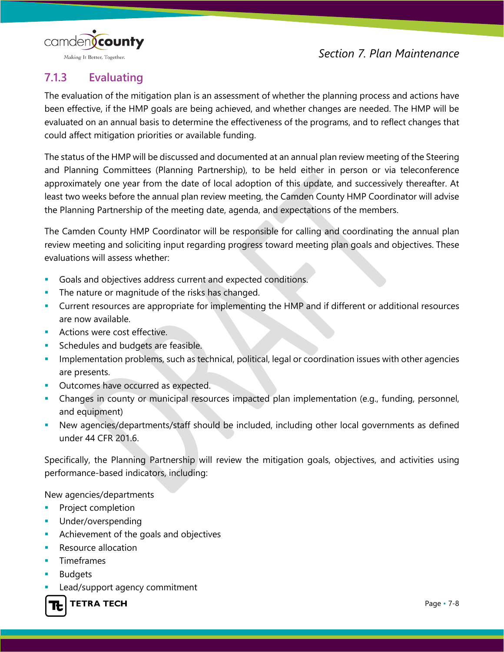

Making It Better, Together.

## **7.1.3 Evaluating**

The evaluation of the mitigation plan is an assessment of whether the planning process and actions have been effective, if the HMP goals are being achieved, and whether changes are needed. The HMP will be evaluated on an annual basis to determine the effectiveness of the programs, and to reflect changes that could affect mitigation priorities or available funding.

The status of the HMP will be discussed and documented at an annual plan review meeting of the Steering and Planning Committees (Planning Partnership), to be held either in person or via teleconference approximately one year from the date of local adoption of this update, and successively thereafter. At least two weeks before the annual plan review meeting, the Camden County HMP Coordinator will advise the Planning Partnership of the meeting date, agenda, and expectations of the members.

The Camden County HMP Coordinator will be responsible for calling and coordinating the annual plan review meeting and soliciting input regarding progress toward meeting plan goals and objectives. These evaluations will assess whether:

- Goals and objectives address current and expected conditions.
- The nature or magnitude of the risks has changed.
- Current resources are appropriate for implementing the HMP and if different or additional resources are now available.
- Actions were cost effective.
- Schedules and budgets are feasible.
- Implementation problems, such as technical, political, legal or coordination issues with other agencies are presents.
- **Dutcomes have occurred as expected.**
- Changes in county or municipal resources impacted plan implementation (e.g., funding, personnel, and equipment)
- New agencies/departments/staff should be included, including other local governments as defined under 44 CFR 201.6.

Specifically, the Planning Partnership will review the mitigation goals, objectives, and activities using performance-based indicators, including:

New agencies/departments

- **Project completion**
- Under/overspending
- Achievement of the goals and objectives
- Resource allocation
- Timeframes
- Budgets
- Lead/support agency commitment

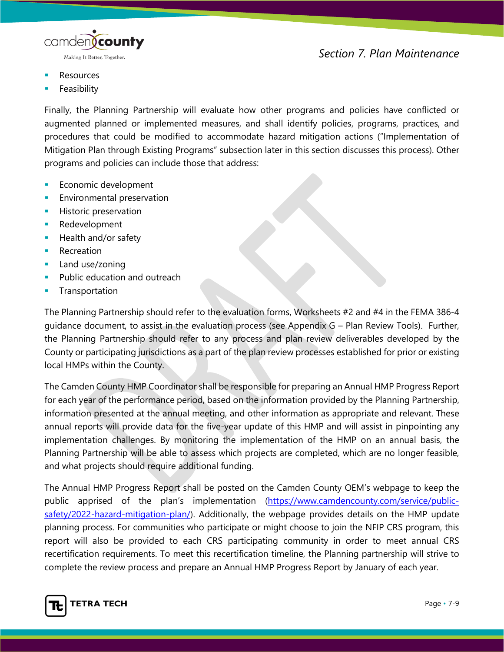

- Resources
- Feasibility

Finally, the Planning Partnership will evaluate how other programs and policies have conflicted or augmented planned or implemented measures, and shall identify policies, programs, practices, and procedures that could be modified to accommodate hazard mitigation actions ("Implementation of Mitigation Plan through Existing Programs" subsection later in this section discusses this process). Other programs and policies can include those that address:

- **Economic development**
- Environmental preservation
- Historic preservation
- **Redevelopment**
- **Health and/or safety**
- **Recreation**
- **Land use/zoning**
- Public education and outreach
- **Transportation**

The Planning Partnership should refer to the evaluation forms, Worksheets #2 and #4 in the FEMA 386-4 guidance document, to assist in the evaluation process (see Appendix G – Plan Review Tools). Further, the Planning Partnership should refer to any process and plan review deliverables developed by the County or participating jurisdictions as a part of the plan review processes established for prior or existing local HMPs within the County.

The Camden County HMP Coordinator shall be responsible for preparing an Annual HMP Progress Report for each year of the performance period, based on the information provided by the Planning Partnership, information presented at the annual meeting, and other information as appropriate and relevant. These annual reports will provide data for the five-year update of this HMP and will assist in pinpointing any implementation challenges. By monitoring the implementation of the HMP on an annual basis, the Planning Partnership will be able to assess which projects are completed, which are no longer feasible, and what projects should require additional funding.

The Annual HMP Progress Report shall be posted on the Camden County OEM's webpage to keep the public apprised of the plan's implementation [\(https://www.camdencounty.com/service/public](https://www.camdencounty.com/service/public-safety/2022-hazard-mitigation-plan/)[safety/2022-hazard-mitigation-plan/\)](https://www.camdencounty.com/service/public-safety/2022-hazard-mitigation-plan/). Additionally, the webpage provides details on the HMP update planning process. For communities who participate or might choose to join the NFIP CRS program, this report will also be provided to each CRS participating community in order to meet annual CRS recertification requirements. To meet this recertification timeline, the Planning partnership will strive to complete the review process and prepare an Annual HMP Progress Report by January of each year.

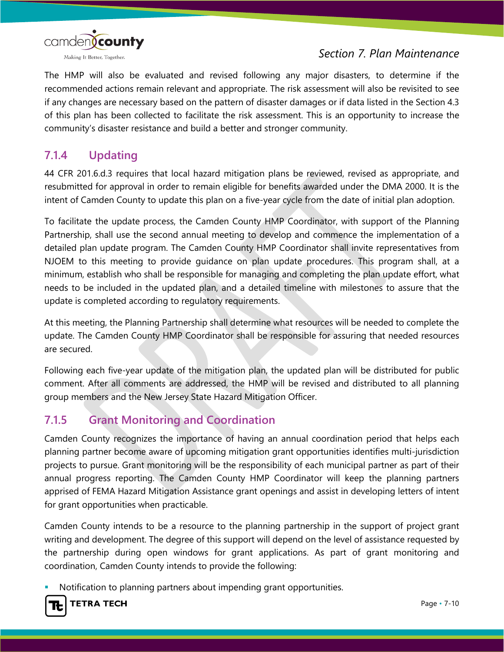

The HMP will also be evaluated and revised following any major disasters, to determine if the recommended actions remain relevant and appropriate. The risk assessment will also be revisited to see if any changes are necessary based on the pattern of disaster damages or if data listed in the Section 4.3 of this plan has been collected to facilitate the risk assessment. This is an opportunity to increase the community's disaster resistance and build a better and stronger community.

#### **7.1.4 Updating**

44 CFR 201.6.d.3 requires that local hazard mitigation plans be reviewed, revised as appropriate, and resubmitted for approval in order to remain eligible for benefits awarded under the DMA 2000. It is the intent of Camden County to update this plan on a five-year cycle from the date of initial plan adoption.

To facilitate the update process, the Camden County HMP Coordinator, with support of the Planning Partnership, shall use the second annual meeting to develop and commence the implementation of a detailed plan update program. The Camden County HMP Coordinator shall invite representatives from NJOEM to this meeting to provide guidance on plan update procedures. This program shall, at a minimum, establish who shall be responsible for managing and completing the plan update effort, what needs to be included in the updated plan, and a detailed timeline with milestones to assure that the update is completed according to regulatory requirements.

At this meeting, the Planning Partnership shall determine what resources will be needed to complete the update. The Camden County HMP Coordinator shall be responsible for assuring that needed resources are secured.

Following each five-year update of the mitigation plan, the updated plan will be distributed for public comment. After all comments are addressed, the HMP will be revised and distributed to all planning group members and the New Jersey State Hazard Mitigation Officer.

### **7.1.5 Grant Monitoring and Coordination**

Camden County recognizes the importance of having an annual coordination period that helps each planning partner become aware of upcoming mitigation grant opportunities identifies multi-jurisdiction projects to pursue. Grant monitoring will be the responsibility of each municipal partner as part of their annual progress reporting. The Camden County HMP Coordinator will keep the planning partners apprised of FEMA Hazard Mitigation Assistance grant openings and assist in developing letters of intent for grant opportunities when practicable.

Camden County intends to be a resource to the planning partnership in the support of project grant writing and development. The degree of this support will depend on the level of assistance requested by the partnership during open windows for grant applications. As part of grant monitoring and coordination, Camden County intends to provide the following:

Notification to planning partners about impending grant opportunities.



**TETRA TECH**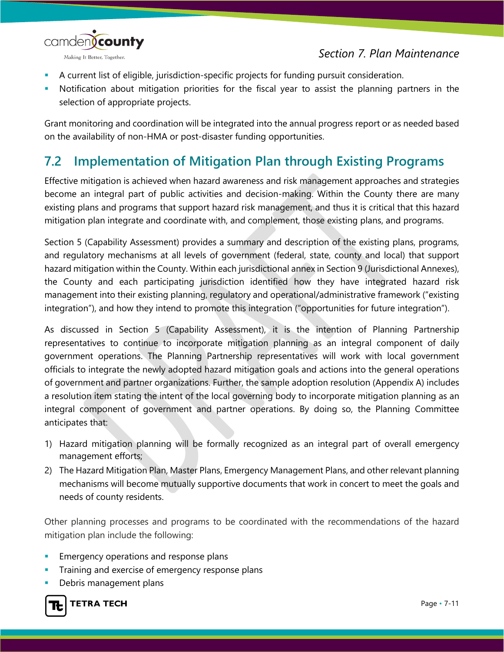

- A current list of eligible, jurisdiction-specific projects for funding pursuit consideration.
- Notification about mitigation priorities for the fiscal year to assist the planning partners in the selection of appropriate projects.

Grant monitoring and coordination will be integrated into the annual progress report or as needed based on the availability of non-HMA or post-disaster funding opportunities.

## **7.2 Implementation of Mitigation Plan through Existing Programs**

Effective mitigation is achieved when hazard awareness and risk management approaches and strategies become an integral part of public activities and decision-making. Within the County there are many existing plans and programs that support hazard risk management, and thus it is critical that this hazard mitigation plan integrate and coordinate with, and complement, those existing plans, and programs.

Section 5 (Capability Assessment) provides a summary and description of the existing plans, programs, and regulatory mechanisms at all levels of government (federal, state, county and local) that support hazard mitigation within the County. Within each jurisdictional annex in Section 9 (Jurisdictional Annexes), the County and each participating jurisdiction identified how they have integrated hazard risk management into their existing planning, regulatory and operational/administrative framework ("existing integration"), and how they intend to promote this integration ("opportunities for future integration").

As discussed in Section 5 (Capability Assessment), it is the intention of Planning Partnership representatives to continue to incorporate mitigation planning as an integral component of daily government operations. The Planning Partnership representatives will work with local government officials to integrate the newly adopted hazard mitigation goals and actions into the general operations of government and partner organizations. Further, the sample adoption resolution (Appendix A) includes a resolution item stating the intent of the local governing body to incorporate mitigation planning as an integral component of government and partner operations. By doing so, the Planning Committee anticipates that:

- 1) Hazard mitigation planning will be formally recognized as an integral part of overall emergency management efforts;
- 2) The Hazard Mitigation Plan, Master Plans, Emergency Management Plans, and other relevant planning mechanisms will become mutually supportive documents that work in concert to meet the goals and needs of county residents.

Other planning processes and programs to be coordinated with the recommendations of the hazard mitigation plan include the following:

- Emergency operations and response plans
- Training and exercise of emergency response plans
- Debris management plans

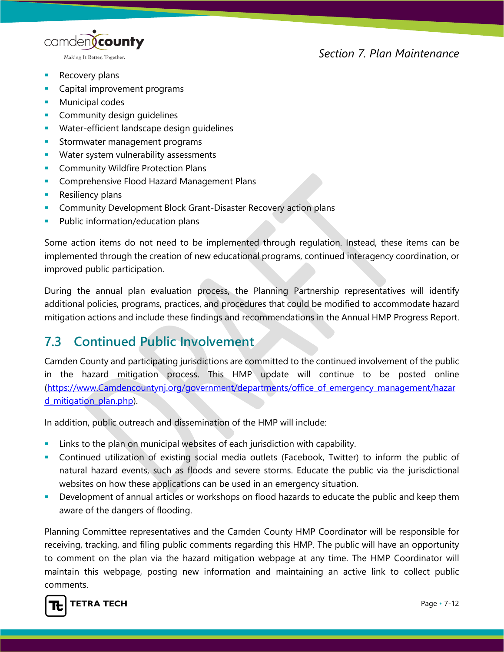camden**(county** Making It Better, Together.

#### *Section 7. Plan Maintenance*

- **Recovery plans**
- **Capital improvement programs**
- **Municipal codes**
- Community design guidelines
- Water-efficient landscape design guidelines
- **Stormwater management programs**
- **Water system vulnerability assessments**
- **Community Wildfire Protection Plans**
- **Comprehensive Flood Hazard Management Plans**
- **Resiliency plans**
- **Community Development Block Grant-Disaster Recovery action plans**
- Public information/education plans

Some action items do not need to be implemented through regulation. Instead, these items can be implemented through the creation of new educational programs, continued interagency coordination, or improved public participation.

During the annual plan evaluation process, the Planning Partnership representatives will identify additional policies, programs, practices, and procedures that could be modified to accommodate hazard mitigation actions and include these findings and recommendations in the Annual HMP Progress Report.

#### **7.3 Continued Public Involvement**

Camden County and participating jurisdictions are committed to the continued involvement of the public in the hazard mitigation process. This HMP update will continue to be posted online [\(https://www.Camdencountynj.org/government/departments/office\\_of\\_emergency\\_management/hazar](https://www.passaiccountynj.org/government/departments/office_of_emergency_management/hazard_mitigation_plan.php) d mitigation plan.php).

In addition, public outreach and dissemination of the HMP will include:

- Links to the plan on municipal websites of each jurisdiction with capability.
- Continued utilization of existing social media outlets (Facebook, Twitter) to inform the public of natural hazard events, such as floods and severe storms. Educate the public via the jurisdictional websites on how these applications can be used in an emergency situation.
- **Development of annual articles or workshops on flood hazards to educate the public and keep them** aware of the dangers of flooding.

Planning Committee representatives and the Camden County HMP Coordinator will be responsible for receiving, tracking, and filing public comments regarding this HMP. The public will have an opportunity to comment on the plan via the hazard mitigation webpage at any time. The HMP Coordinator will maintain this webpage, posting new information and maintaining an active link to collect public comments.